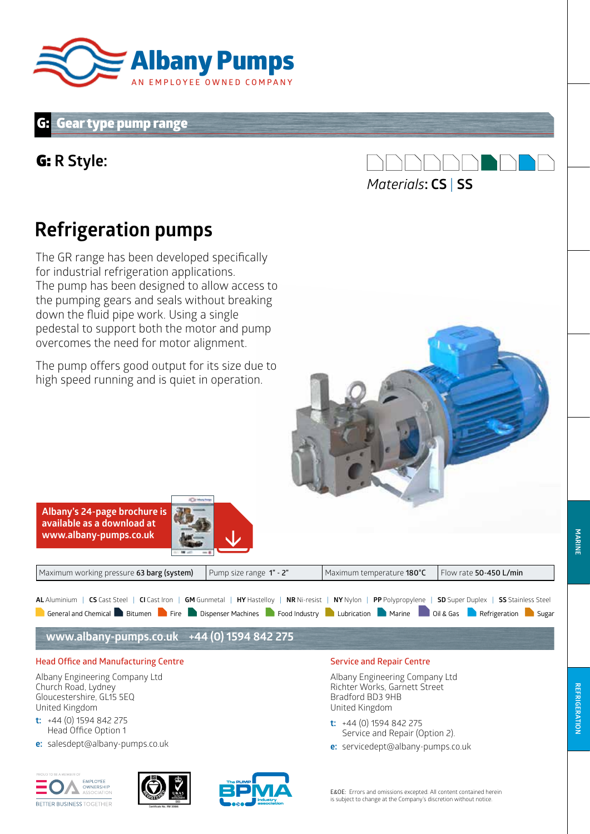

#### **Gear type pump range**

### G: **R Style:**



## **Refrigeration pumps**

The GR range has been developed specifically for industrial refrigeration applications. The pump has been designed to allow access to the pumping gears and seals without breaking down the fluid pipe work. Using a single pedestal to support both the motor and pump overcomes the need for motor alignment.

The pump offers good output for its size due to high speed running and is quiet in operation.

> **MARINE MARINE**

**Service and Repair Centre**

Albany Engineering Company Ltd Richter Works, Garnett Street Bradford BD3 9HB United Kingdom

- **t:** +44 (0) 1594 842 275 Service and Repair (Option 2).
- **e:** servicedept@albany-pumps.co.uk



Church Road, Lydney Gloucestershire, GL15 5EQ

United Kingdom **t:** +44 (0) 1594 842 275 Head Office Option 1

**Head Office and Manufacturing Centre**  Albany Engineering Company Ltd

**Albany's 24-page brochure is available as a download at www.albany-pumps.co.uk** 

**e:** salesdept@albany-pumps.co.uk



**www.albany-pumps.co.uk +44 (0) 1594 842 275**



General and Chemical Bitumen Fire Dispenser Machines Food Industry Lubrication Marine Oil & Gas Refrigeration Sugar AL Aluminium | CS Cast Steel | CI Cast Iron | GM Gunmetal | HY Hastelloy | NR Ni-resist | NY Nylon | PP Polypropylene | SD Super Duplex | SS Stainless Steel

Maximum working pressure **63 barg (system)** Pump size range **1" - 2"** Maximum temperature **180°C** Flow rate **50-450 L/min**

E&OE: Errors and omissions excepted. All content contained herein is subject to change at the Company's discretion without notice.